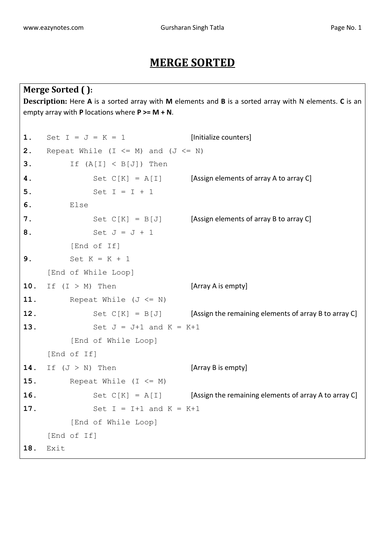## **MERGE SORTED**

```
Merge Sorted ( ):
Description: Here A is a sorted array with M elements and B is a sorted array with N elements. C is an 
empty array with P locations where P >= M + N.
1. Set I = J = K = 1 [Initialize counters]
2. Repeat While (I \leq M) and (J \leq N)3. If (A[I] < B[J]) Then
4. Set C[K] = A[I] [Assign elements of array A to array C]
5. Set I = I + 1
6. Else
7. Set C[K] = B[J] [Assign elements of array B to array C]
8. Set J = J + 1
         [End of If]
9. Set K = K + 1
    [End of While Loop]
10. If (I > M) Then [Array A is empty]
11. Repeat While (J \leq N)12. Set C[K] = B[J] [Assign the remaining elements of array B to array C]
13. Set J = J+1 and K = K+1
         [End of While Loop]
    [End of If]
14. If (J > N) Then [Array B is empty]
15. Repeat While (I \leq M)16. Set C[K] = A[I] [Assign the remaining elements of array A to array C]
17. Set I = I+1 and K = K+1
         [End of While Loop]
    [End of If]
18. Exit
```